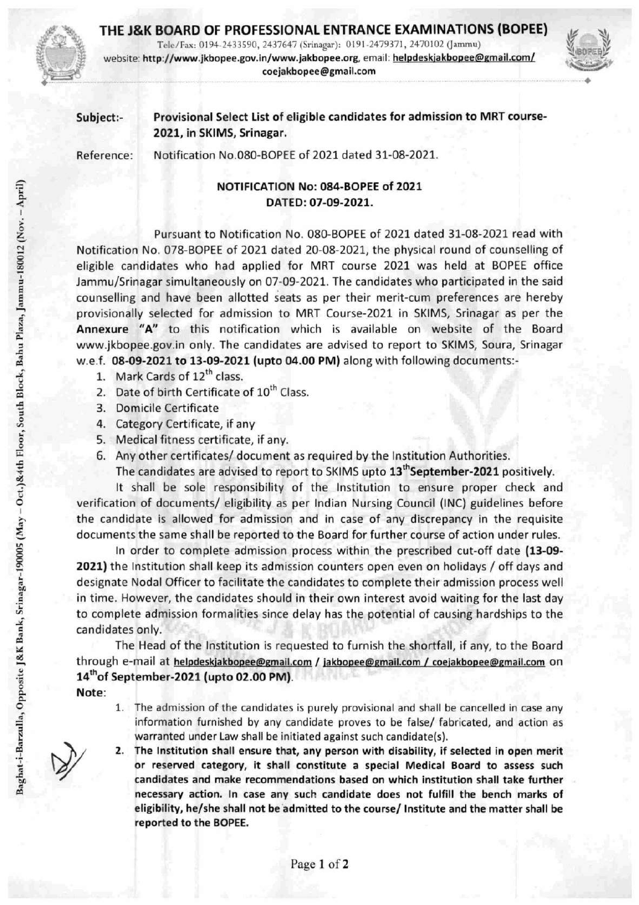

## THE J&K BOARD OF PROFESSIONAL ENTRANCE EXAMINATIONS (BOPEE)

**BOARD OF PROFESSIONAL ENTRANCE EXAMINATIONS (BOPEE)** website: http://www.jkbopee.gov.in/www.jakbopee.org, email: helpdeskjakbopee@gmail.com/ coejakbopee@gmail.com



## Subject:- Provisional Select List of eligible candidates for admission to MRT course-2021, in SKIMS, Srinagar.

Reference: Notification N0.O8O-BOPEE of 2021 dated 31-08-2021.

## NOTIFICATION No: 084-BOPEE of 2021 < DATED: 07-09-2021.

Pursuant to Notification No. 080-BOPEE of 2021 dated 31-08-2021 read with Notification No. 078-BOPEE of 2021 dated 20-08-2021, the physical round of counselling of 1 eligible candidates who had applied for MRT course 2021 was held at BOPEE office Jammu/Srinagar simultaneously on 07-09-2021. The candidates who participated in the said counselling and have been allotted seats as per their merit-cum preferences are hereby provisionally selected for admission to MRT Course-2021 in SKIMS, Srinagar as per the Annexure "A" to this notification which is available on website of the Board www.jkbopee.gov.in only. The candidates are advised to report to SKIMS, Soura, Srinagar w.e.f. 08-09-2021 to 13-09-2021 (upto 04.00 PM) along with following documents:-

- 1. Mark Cards of  $12^{\text{th}}$  class.
- 2. Date of birth Certificate of 10<sup>th</sup> Class.
- 3. Domicile Certificate
- 4. Category Certificate, if any
- 5. Medical fitness certificate, if any.
- 6. Any other certificates/ document as required by the Institution Authorities.

The candidates are advised to report to SKIMS upto 13<sup>th</sup> September-2021 positively.

It shall be sole responsibility of the Institution to ensure proper check and o verification of documents/ eligibility as per Indian Nursing Council (INC) guidelines before ^ the candidate is allowed for admission and In case of any discrepancy in the requisite documents the same shall be reported to the Board for further course of action under rules.

In order to complete admission process within the prescribed cut-off date (13-09-2021) the Institution shall keep its admission counters open even on holidays / off days and ^ designate Nodal Officer to facilitate the candidates to complete their admission process well in time. However, the candidates should in their own interest avoid waiting for the last day to complete admission formalities since delay has the potential of causing hardships to the candidates only.

The Head of the Institution is requested to furnish the shortfall, if any, to the Board through e-mail at helpdeskjakbopee@gmail.com / jakbopee@gmail.com / coejakbopee@gmail.com on  $14<sup>th</sup>$  of September-2021 (upto 02.00 PM).

Note:

- 1. The admission of the candidates is purely provisional and shall be cancelled in case any information furnished by any candidate proves to be false/ fabricated, and action as warranted under Law shall be initiated against such candidate(s).
- 2. The Institution shall ensure that, any person with disability, if selected in open merit or reserved category, it shall constitute a special Medical Board to assess such ^ candidates and make recommendations based on which institution shall take further necessary action. In case any such candidate does not fulfill the bench marks of eligibility, he/she shall not be admitted to the course/ Institute and the matter shall be reported to the BOPEE.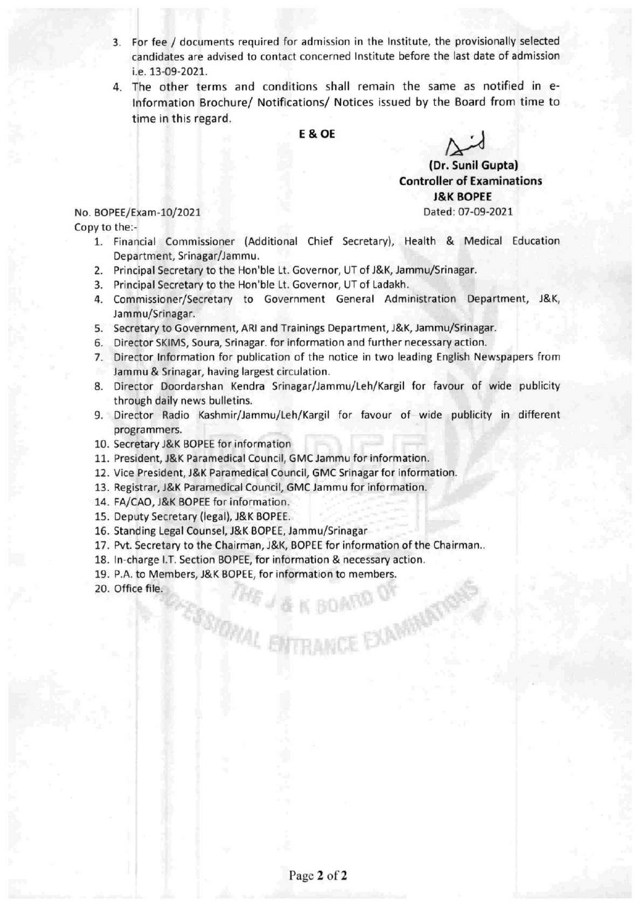- 3. For fee / documents required for admission in the Institute, the provisionally selected candidates are advised to contact concerned Institute before the last date of admission i.e. 13-09-2021.
- 4. The other terms and conditions shall remain the same as notified in e-Information Brochure/ Notifications/ Notices issued by the Board from time to time in this regard.

E&OE

(Dr. Sunil Gupta) **Controller of Examinations** J&K BOPEE

No. BOPEE/Exam-10/2021 Dated: 07-09-2021 Copy to the:-

- 1. Financial Commissioner (Additional Chief Secretary), Health & Medical Education Department, Srinagar/Jammu.
- 2. Principal Secretary to the Hon'ble Lt. Governor, UT of J&K, Jammu/Srinagar.
- 3. Principal Secretary to the Hon'ble Lt. Governor, UT of Ladakh.
- 4. Commissioner/Secretary to Government General Administration Department, J&K, Jammu/Srinagar.
- 5. Secretary to Government, ARI and Trainings Department, J&K, Jammu/Srinagar.
- 6. Director SKIMS, Soura, Srinagar. for information and further necessary action.
- 7. Director Information for publication of the notice in two leading English Newspapers from Jammu & Srinagar, having largest circulation.
- 8. Director Doordarshan Kendra Srinagar/Jammu/Leh/Kargil for favour of wide publicity through daily news bulletins.
- 9. Director Radio Kashmir/Jammu/Leh/Kargil for favour of wide publicity in different programmers.
- 10. Secretary J&K BOPEE for information
- 11. President, J&K Paramedical Council, GMC Jammu for information.
- 12. Vice President, J&K Paramedical Council, GMC Srinagar for information.
- 13. Registrar, J&K Paramedical Council, GMC Jammu for information.
- 14. FA/CAO, J&K BOPEE for information.
- 15. Deputy Secretary (legal), J&K BOPEE.
- 16. Standing Legal Counsel, J&K BOPEE, Jammu/Srinagar
- 17. Pvt. Secretary to the Chairman, J&K, BOPEE for information of the Chairman..

**STOWAL ENTRANCE EXA** 

- 18. In-charge I.T. Section BOPEE, for information & necessary action.
- 19. P.A. to Members, J&K BOPEE, for information to members.
- 20. Office file.